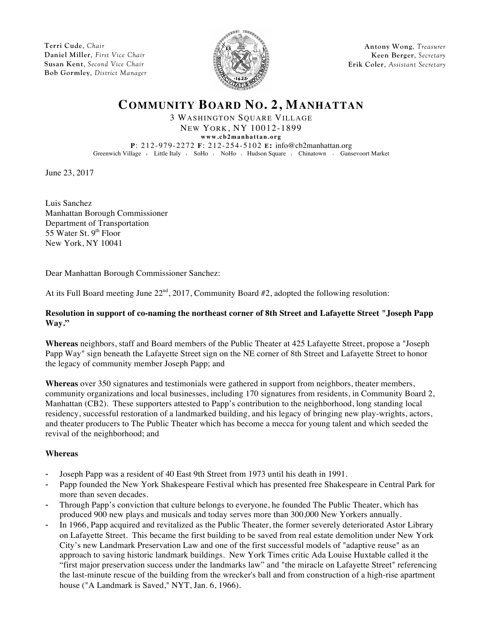**Terri Cude**, *Chair* **Daniel Miller**, *First Vice Chair* **Susan Kent**, *Second Vice Chair* **Bob Gormley**, *District Manager*



**Antony Wong**, *Treasurer* **Keen Berger**, *Secretary* **Erik Coler**, *Assistant Secretary*

## **COMMUNITY BOARD NO. 2, MANHATTAN**

3 WASHINGTON SQUARE VILLAGE NEW YORK, NY 10012-1899

**www.cb2manhattan.org**

**P**: 212-979-2272 **F**: 212-254-5102 **E:** info@cb2manhattan.org Greenwich Village v Little Italy v SoHo v NoHo v Hudson Square v Chinatown v Gansevoort Market

June 23, 2017

Luis Sanchez Manhattan Borough Commissioner Department of Transportation 55 Water St.  $9<sup>th</sup>$  Floor New York, NY 10041

Dear Manhattan Borough Commissioner Sanchez:

At its Full Board meeting June  $22<sup>nd</sup>$ ,  $2017$ , Community Board #2, adopted the following resolution:

## **Resolution in support of co-naming the northeast corner of 8th Street and Lafayette Street "Joseph Papp Way."**

**Whereas** neighbors, staff and Board members of the Public Theater at 425 Lafayette Street, propose a "Joseph Papp Way" sign beneath the Lafayette Street sign on the NE corner of 8th Street and Lafayette Street to honor the legacy of community member Joseph Papp; and

**Whereas** over 350 signatures and testimonials were gathered in support from neighbors, theater members, community organizations and local businesses, including 170 signatures from residents, in Community Board 2, Manhattan (CB2). These supporters attested to Papp's contribution to the neighborhood, long standing local residency, successful restoration of a landmarked building, and his legacy of bringing new play-wrights, actors, and theater producers to The Public Theater which has become a mecca for young talent and which seeded the revival of the neighborhood; and

## **Whereas**

- Joseph Papp was a resident of 40 East 9th Street from 1973 until his death in 1991.
- Papp founded the New York Shakespeare Festival which has presented free Shakespeare in Central Park for more than seven decades.
- Through Papp's conviction that culture belongs to everyone, he founded The Public Theater, which has produced 900 new plays and musicals and today serves more than 300,000 New Yorkers annually.
- In 1966, Papp acquired and revitalized as the Public Theater, the former severely deteriorated Astor Library on Lafayette Street. This became the first building to be saved from real estate demolition under New York City's new Landmark Preservation Law and one of the first successful models of "adaptive reuse" as an approach to saving historic landmark buildings. New York Times critic Ada Louise Huxtable called it the "first major preservation success under the landmarks law" and "the miracle on Lafayette Street" referencing the last-minute rescue of the building from the wrecker's ball and from construction of a high-rise apartment house ("A Landmark is Saved," NYT, Jan. 6, 1966).